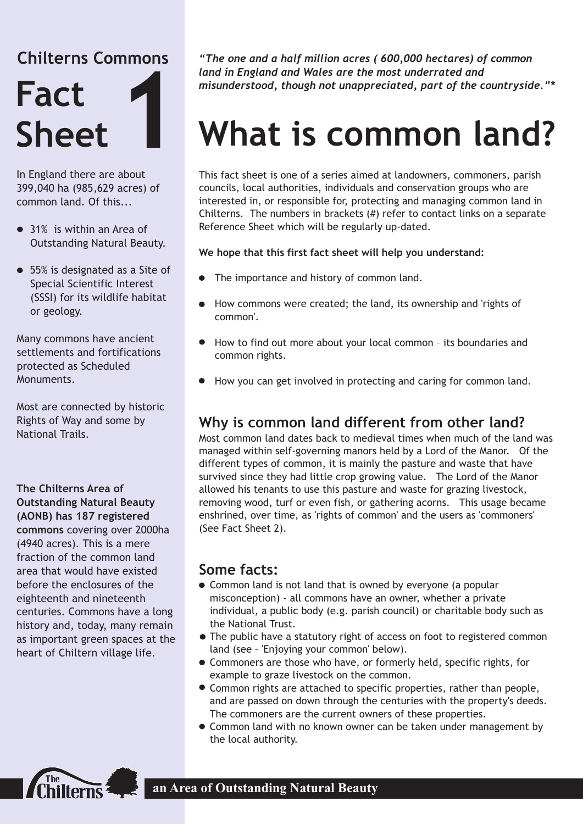# **Chilterns Commons**



In England there are about 399,040 ha (985,629 acres) of common land. Of this.

- 31% is within an Area of Outstanding Natural Beauty.
- 55% is designated as a Site of Special Scientific Interest (SSSI) for its wildlife habitat or geology.

Many commons have ancient settlements and fortifications protected as Scheduled Monuments.

Most are connected by historic Rights of Way and some by National Trails.

#### **The Chilterns Area of Outstanding Natural Beauty (AONB) has 187 registered commons** covering over 2000ha (4940 acres). This is a mere fraction of the common land area that would have existed before the enclosures of the eighteenth and nineteenth centuries. Commons have a long history and, today, many remain as important green spaces at the

heart of Chiltern village life.

*"The one and a half million acres ( 600,000 hectares) of common land in England and Wales are the most underrated and misunderstood, though not unappreciated, part of the countryside."\**

# **What is common land?**

This fact sheet is one of a series aimed at landowners, commoners, parish councils, local authorities, individuals and conservation groups who are interested in, or responsible for, protecting and managing common land in Chilterns. The numbers in brackets (#) refer to contact links on a separate Reference Sheet which will be regularly up-dated.

#### **We hope that this first fact sheet will help you understand:**

- The importance and history of common land.
- How commons were created; the land, its ownership and 'rights of common'.
- · How to find out more about your local common its boundaries and common rights.
- · How you can get involved in protecting and caring for common land.

## **Why is common land different from other land?**

Most common land dates back to medieval times when much of the land was managed within self-governing manors held by a Lord of the Manor. Of the different types of common, it is mainly the pasture and waste that have survived since they had little crop growing value. The Lord of the Manor allowed his tenants to use this pasture and waste for grazing livestock, removing wood, turf or even fish, or gathering acorns. This usage became enshrined, over time, as 'rights of common' and the users as 'commoners' (See Fact Sheet 2).

#### **Some facts:**

- Common land is not land that is owned by everyone (a popular misconception) - all commons have an owner, whether a private individual, a public body (e.g. parish council) or charitable body such as the National Trust.
- The public have a statutory right of access on foot to registered common land (see – 'Enjoying your common' below).
- · Commoners are those who have, or formerly held, specific rights, for example to graze livestock on the common.
- · Common rights are attached to specific properties, rather than people, and are passed on down through the centuries with the property's deeds. The commoners are the current owners of these properties.
- Common land with no known owner can be taken under management by the local authority.



**an Area of Outstanding Natural Beauty**